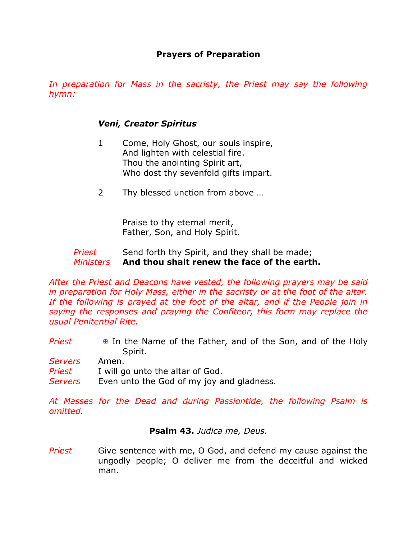## **Prayers of Preparation**

In preparation for Mass in the sacristy, the Priest may say the following *hymn:* 

## *Veni, Creator Spiritus*

- 1 Come, Holy Ghost, our souls inspire, And lighten with celestial fire. Thou the anointing Spirit art, Who dost thy sevenfold gifts impart.
- 2 Thy blessed unction from above …

Praise to thy eternal merit, Father, Son, and Holy Spirit.

## *Priest* Send forth thy Spirit, and they shall be made; *Ministers* **And thou shalt renew the face of the earth.**

*After the Priest and Deacons have vested, the following prayers may be said in preparation for Holy Mass, either in the sacristy or at the foot of the altar.*  If the following is prayed at the foot of the altar, and if the People join in *saying the responses and praying the Confiteor, this form may replace the usual Penitential Rite.*

**Priest E** In the Name of the Father, and of the Son, and of the Holy Spirit.

*Servers* Amen. *Priest* I will go unto the altar of God. Servers Even unto the God of my joy and gladness.

*At Masses for the Dead and during Passiontide, the following Psalm is omitted.*

## **Psalm 43.** *Judica me, Deus.*

*Priest* Give sentence with me, O God, and defend my cause against the ungodly people; O deliver me from the deceitful and wicked man.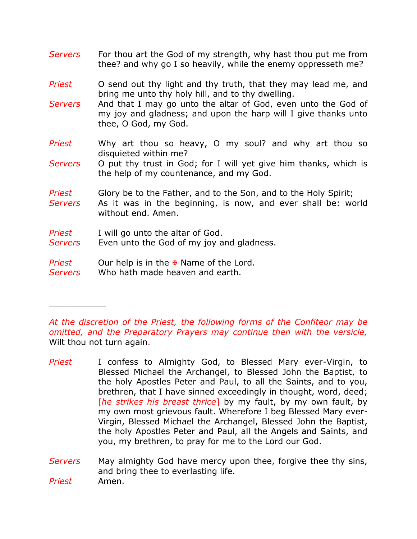- *Servers* For thou art the God of my strength, why hast thou put me from thee? and why go I so heavily, while the enemy oppresseth me?
- *Priest* O send out thy light and thy truth, that they may lead me, and bring me unto thy holy hill, and to thy dwelling.
- *Servers* And that I may go unto the altar of God, even unto the God of my joy and gladness; and upon the harp will I give thanks unto thee, O God, my God.
- *Priest* Why art thou so heavy, O my soul? and why art thou so disquieted within me?
- *Servers* O put thy trust in God; for I will yet give him thanks, which is the help of my countenance, and my God.
- *Priest* Glory be to the Father, and to the Son, and to the Holy Spirit;
- *Servers* As it was in the beginning, is now, and ever shall be: world without end. Amen.
- *Priest* I will go unto the altar of God.

 $\overline{\phantom{a}}$  , where  $\overline{\phantom{a}}$ 

- Servers Even unto the God of my joy and gladness.
- *Priest* Our help is in the **E** Name of the Lord.
- *Servers* Who hath made heaven and earth.

*At the discretion of the Priest, the following forms of the Confiteor may be omitted, and the Preparatory Prayers may continue then with the versicle,*  Wilt thou not turn again.

- *Priest* I confess to Almighty God, to Blessed Mary ever-Virgin, to Blessed Michael the Archangel, to Blessed John the Baptist, to the holy Apostles Peter and Paul, to all the Saints, and to you, brethren, that I have sinned exceedingly in thought, word, deed; [*he strikes his breast thrice*] by my fault, by my own fault, by my own most grievous fault. Wherefore I beg Blessed Mary ever-Virgin, Blessed Michael the Archangel, Blessed John the Baptist, the holy Apostles Peter and Paul, all the Angels and Saints, and you, my brethren, to pray for me to the Lord our God.
- *Servers* May almighty God have mercy upon thee, forgive thee thy sins, and bring thee to everlasting life. *Priest* Amen.